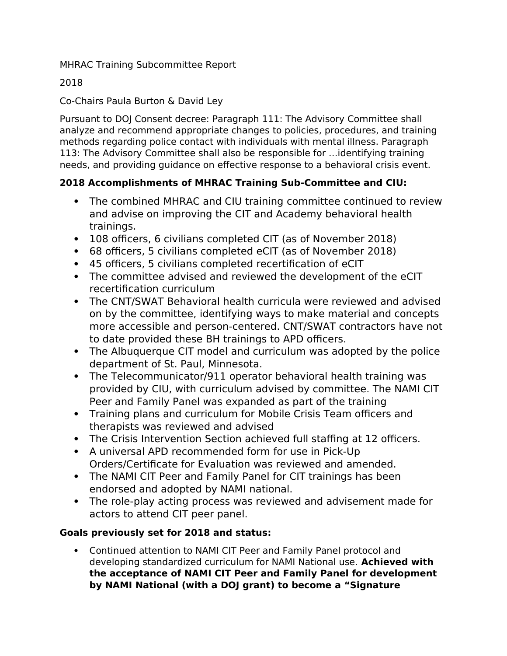MHRAC Training Subcommittee Report

2018

Co-Chairs Paula Burton & David Ley

Pursuant to DOJ Consent decree: Paragraph 111: The Advisory Committee shall analyze and recommend appropriate changes to policies, procedures, and training methods regarding police contact with individuals with mental illness. Paragraph 113: The Advisory Committee shall also be responsible for …identifying training needs, and providing guidance on effective response to a behavioral crisis event.

## **2018 Accomplishments of MHRAC Training Sub-Committee and CIU:**

- The combined MHRAC and CIU training committee continued to review and advise on improving the CIT and Academy behavioral health trainings.
- 108 officers, 6 civilians completed CIT (as of November 2018)
- 68 officers, 5 civilians completed eCIT (as of November 2018)
- 45 officers, 5 civilians completed recertification of eCIT
- The committee advised and reviewed the development of the eCIT recertification curriculum
- The CNT/SWAT Behavioral health curricula were reviewed and advised on by the committee, identifying ways to make material and concepts more accessible and person-centered. CNT/SWAT contractors have not to date provided these BH trainings to APD officers.
- The Albuquerque CIT model and curriculum was adopted by the police department of St. Paul, Minnesota.
- The Telecommunicator/911 operator behavioral health training was provided by CIU, with curriculum advised by committee. The NAMI CIT Peer and Family Panel was expanded as part of the training
- Training plans and curriculum for Mobile Crisis Team officers and therapists was reviewed and advised
- The Crisis Intervention Section achieved full staffing at 12 officers.
- A universal APD recommended form for use in Pick-Up Orders/Certificate for Evaluation was reviewed and amended.
- The NAMI CIT Peer and Family Panel for CIT trainings has been endorsed and adopted by NAMI national.
- The role-play acting process was reviewed and advisement made for actors to attend CIT peer panel.

## **Goals previously set for 2018 and status:**

 Continued attention to NAMI CIT Peer and Family Panel protocol and developing standardized curriculum for NAMI National use. **Achieved with the acceptance of NAMI CIT Peer and Family Panel for development by NAMI National (with a DOJ grant) to become a "Signature**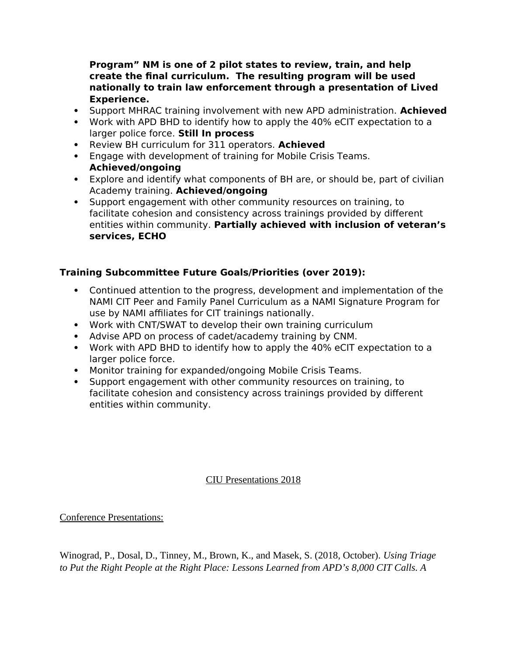**Program" NM is one of 2 pilot states to review, train, and help create the final curriculum. The resulting program will be used nationally to train law enforcement through a presentation of Lived Experience.**

- Support MHRAC training involvement with new APD administration. **Achieved**
- Work with APD BHD to identify how to apply the 40% eCIT expectation to a larger police force. **Still In process**
- Review BH curriculum for 311 operators. **Achieved**
- Engage with development of training for Mobile Crisis Teams. **Achieved/ongoing**
- Explore and identify what components of BH are, or should be, part of civilian Academy training. **Achieved/ongoing**
- Support engagement with other community resources on training, to facilitate cohesion and consistency across trainings provided by different entities within community. **Partially achieved with inclusion of veteran's services, ECHO**

## **Training Subcommittee Future Goals/Priorities (over 2019):**

- Continued attention to the progress, development and implementation of the NAMI CIT Peer and Family Panel Curriculum as a NAMI Signature Program for use by NAMI affiliates for CIT trainings nationally.
- Work with CNT/SWAT to develop their own training curriculum
- Advise APD on process of cadet/academy training by CNM.
- Work with APD BHD to identify how to apply the 40% eCIT expectation to a larger police force.
- Monitor training for expanded/ongoing Mobile Crisis Teams.
- Support engagement with other community resources on training, to facilitate cohesion and consistency across trainings provided by different entities within community.

## CIU Presentations 2018

Conference Presentations:

Winograd, P., Dosal, D., Tinney, M., Brown, K., and Masek, S. (2018, October). *Using Triage to Put the Right People at the Right Place: Lessons Learned from APD's 8,000 CIT Calls. A*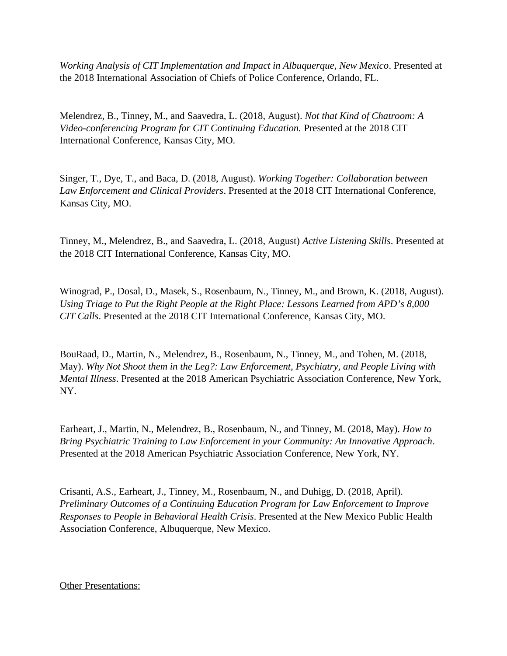*Working Analysis of CIT Implementation and Impact in Albuquerque, New Mexico*. Presented at the 2018 International Association of Chiefs of Police Conference, Orlando, FL.

Melendrez, B., Tinney, M., and Saavedra, L. (2018, August). *Not that Kind of Chatroom: A Video-conferencing Program for CIT Continuing Education.* Presented at the 2018 CIT International Conference, Kansas City, MO.

Singer, T., Dye, T., and Baca, D. (2018, August). *Working Together: Collaboration between Law Enforcement and Clinical Providers*. Presented at the 2018 CIT International Conference, Kansas City, MO.

Tinney, M., Melendrez, B., and Saavedra, L. (2018, August) *Active Listening Skills*. Presented at the 2018 CIT International Conference, Kansas City, MO.

Winograd, P., Dosal, D., Masek, S., Rosenbaum, N., Tinney, M., and Brown, K. (2018, August). *Using Triage to Put the Right People at the Right Place: Lessons Learned from APD's 8,000 CIT Calls*. Presented at the 2018 CIT International Conference, Kansas City, MO.

BouRaad, D., Martin, N., Melendrez, B., Rosenbaum, N., Tinney, M., and Tohen, M. (2018, May). *Why Not Shoot them in the Leg?: Law Enforcement, Psychiatry, and People Living with Mental Illness*. Presented at the 2018 American Psychiatric Association Conference, New York, NY.

Earheart, J., Martin, N., Melendrez, B., Rosenbaum, N., and Tinney, M. (2018, May). *How to Bring Psychiatric Training to Law Enforcement in your Community: An Innovative Approach*. Presented at the 2018 American Psychiatric Association Conference, New York, NY.

Crisanti, A.S., Earheart, J., Tinney, M., Rosenbaum, N., and Duhigg, D. (2018, April). *Preliminary Outcomes of a Continuing Education Program for Law Enforcement to Improve Responses to People in Behavioral Health Crisis*. Presented at the New Mexico Public Health Association Conference, Albuquerque, New Mexico.

Other Presentations: